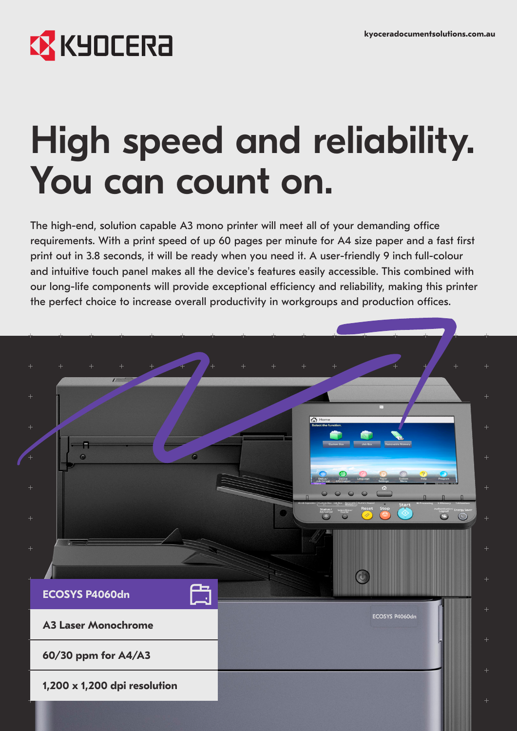## **X KYOCERA**

# High speed and reliability. You can count on.

The high-end, solution capable A3 mono printer will meet all of your demanding office requirements. With a print speed of up 60 pages per minute for A4 size paper and a fast first print out in 3.8 seconds, it will be ready when you need it. A user-friendly 9 inch full-colour and intuitive touch panel makes all the device's features easily accessible. This combined with our long-life components will provide exceptional efficiency and reliability, making this printer the perfect choice to increase overall productivity in workgroups and production offices.